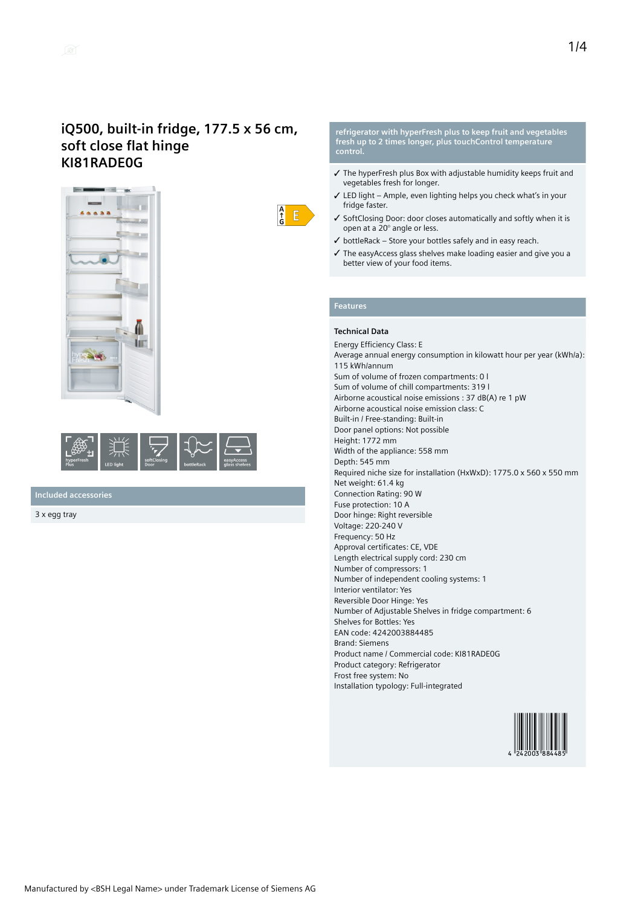



**Included accessories**

3 x egg tray

**refrigerator with hyperFresh plus to keep fruit and vegetables fresh up to 2 times longer, plus touchControl temperature control.**

- ✓ The hyperFresh plus Box with adjustable humidity keeps fruit and vegetables fresh for longer.
- ✓ LED light Ample, even lighting helps you check what's in your fridge faster.
- ✓ SoftClosing Door: door closes automatically and softly when it is open at a 20° angle or less.
- ✓ bottleRack Store your bottles safely and in easy reach.
- ✓ The easyAccess glass shelves make loading easier and give you a better view of your food items.

# **Features**

 $\frac{A}{f}$  $E$ 

### **Technical Data**

Energy Efficiency Class: E Average annual energy consumption in kilowatt hour per year (kWh/a): 115 kWh/annum Sum of volume of frozen compartments: 0 l Sum of volume of chill compartments: 319 l Airborne acoustical noise emissions : 37 dB(A) re 1 pW Airborne acoustical noise emission class: C Built-in / Free-standing: Built-in Door panel options: Not possible Height: 1772 mm Width of the appliance: 558 mm Depth: 545 mm Required niche size for installation (HxWxD): 1775.0 x 560 x 550 mm Net weight: 61.4 kg Connection Rating: 90 W Fuse protection: 10 A Door hinge: Right reversible Voltage: 220-240 V Frequency: 50 Hz Approval certificates: CE, VDE Length electrical supply cord: 230 cm Number of compressors: 1 Number of independent cooling systems: 1 Interior ventilator: Yes Reversible Door Hinge: Yes Number of Adjustable Shelves in fridge compartment: 6 Shelves for Bottles: Yes EAN code: 4242003884485 Brand: Siemens Product name / Commercial code: KI81RADE0G Product category: Refrigerator Frost free system: No Installation typology: Full-integrated

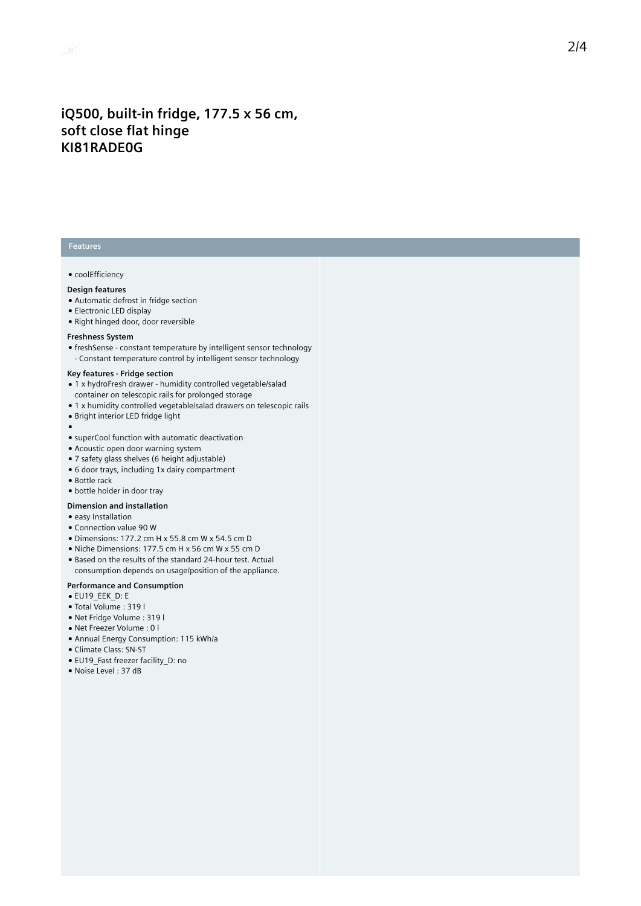## **Features**

#### ● coolEfficiency

#### **Design features**

- Automatic defrost in fridge section
- Electronic LED display
- Right hinged door, door reversible

#### **Freshness System**

● freshSense - constant temperature by intelligent sensor technology - Constant temperature control by intelligent sensor technology

### **Key features - Fridge section**

- 1 x hydroFresh drawer humidity controlled vegetable/salad container on telescopic rails for prolonged storage
- 1 x humidity controlled vegetable/salad drawers on telescopic rails
- Bright interior LED fridge light
- ●
- superCool function with automatic deactivation
- Acoustic open door warning system
- 7 safety glass shelves (6 height adjustable)
- 6 door trays, including 1x dairy compartment
- Bottle rack
- bottle holder in door tray

#### **Dimension and installation**

- easy Installation
- Connection value 90 W
- Dimensions: 177.2 cm H x 55.8 cm W x 54.5 cm D
- Niche Dimensions: 177.5 cm H x 56 cm W x 55 cm D
- Based on the results of the standard 24-hour test. Actual
- consumption depends on usage/position of the appliance.

### **Performance and Consumption**

- EU19\_EEK\_D: E
- Total Volume : 319 l
- Net Fridge Volume : 319 l
- Net Freezer Volume : 0 l
- Annual Energy Consumption: 115 kWh/a
- Climate Class: SN-ST
- EU19\_Fast freezer facility\_D: no
- Noise Level : 37 dB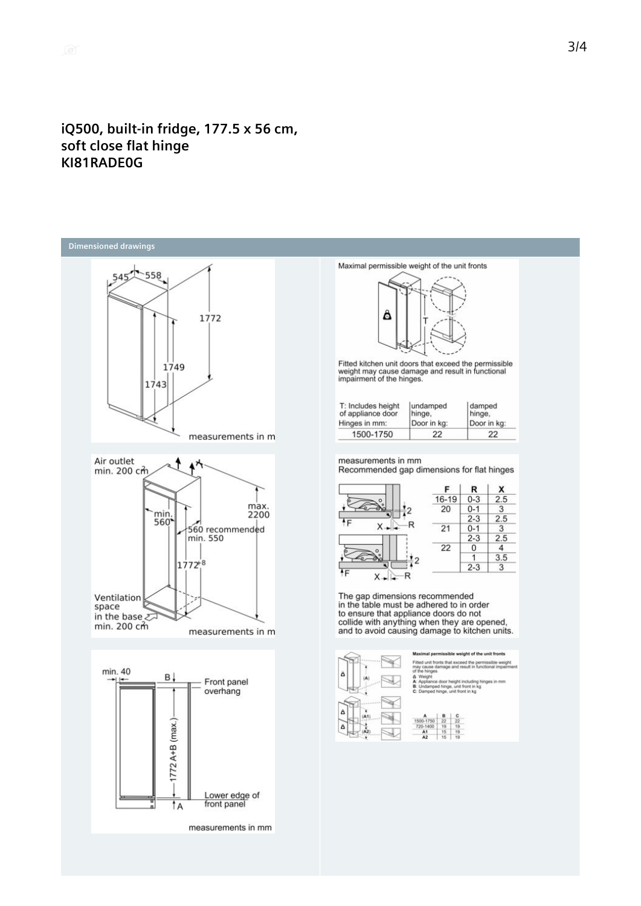



measurements in mm



Fitted kitchen unit doors that exceed the permissible<br>weight may cause damage and result in functional<br>impairment of the hinges.

| T: Includes height | undamped    | damped      |
|--------------------|-------------|-------------|
| of appliance door  | hinge.      | hinge.      |
| Hinges in mm:      | Door in kg: | Door in kg: |
| 1500-1750          | 22          | 22          |

measurements in mm

Recommended gap dimensions for flat hinges



The gap dimensions recommended<br>in the table must be adhered to in order<br>to ensure that appliance doors do not<br>collide with anything when they are opened,<br>and to avoid causing damage to kitchen units.



missible weight of the unit front ts that exceed the per sible weigh